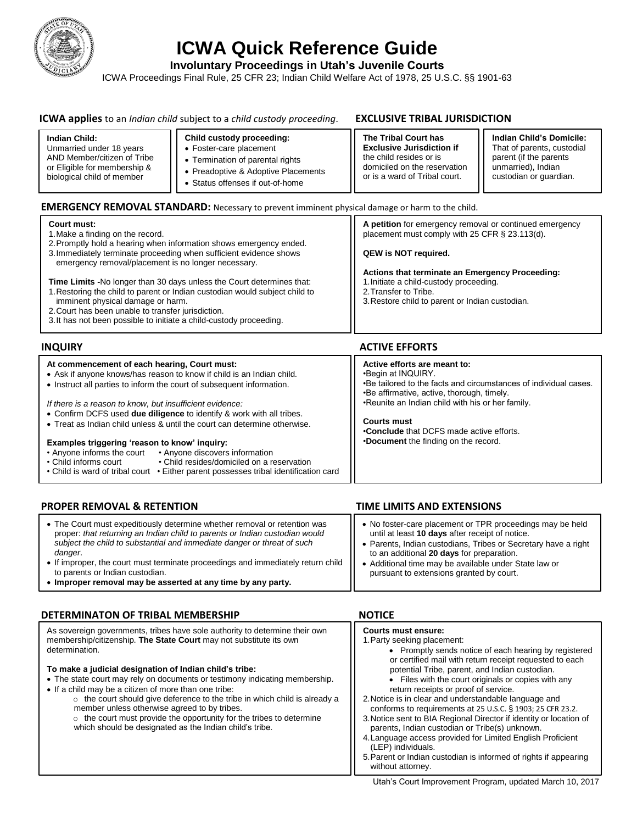

# **ICWA Quick Reference Guide**

**Involuntary Proceedings in Utah's Juvenile Courts**

ICWA Proceedings Final Rule, 25 CFR 23; Indian Child Welfare Act of 1978, 25 U.S.C. §§ 1901-63

# **ICWA applies** to an *Indian child* subject to a *child custody proceeding*. **EXCLUSIVE TRIBAL JURISDICTION**

placement in the control of

### **Indian Child:** Unmarried under 18 years AND Member/citizen of Tribe or Eligible for membership & biological child of member **Child custody proceeding:** Foster-care placement Termination of parental rights • Preadoptive & Adoptive Placements Status offenses if out-of-home **The Tribal Court has Exclusive Jurisdiction if**  the child resides or is domiciled on the reservation or is a ward of Tribal court. **Indian Child's Domicile:**  That of parents, custodial parent (if the parents unmarried), Indian custodian or guardian.

# **EMERGENCY REMOVAL STANDARD:** Necessary to prevent imminent physical damage or harm to the child.

| Court must:<br>1. Make a finding on the record.                                                                                                                                                                                                                                                                               | A petition for emergency removal or continued emergency<br>placement must comply with 25 CFR § 23.113(d).                                                              |
|-------------------------------------------------------------------------------------------------------------------------------------------------------------------------------------------------------------------------------------------------------------------------------------------------------------------------------|------------------------------------------------------------------------------------------------------------------------------------------------------------------------|
| 2. Promptly hold a hearing when information shows emergency ended.<br>3. Immediately terminate proceeding when sufficient evidence shows<br>emergency removal/placement is no longer necessary.                                                                                                                               | QEW is NOT required.                                                                                                                                                   |
| <b>Time Limits -No longer than 30 days unless the Court determines that:</b><br>1. Restoring the child to parent or Indian custodian would subject child to<br>imminent physical damage or harm.<br>2. Court has been unable to transfer jurisdiction.<br>3. It has not been possible to initiate a child-custody proceeding. | Actions that terminate an Emergency Proceeding:<br>1. Initiate a child-custody proceeding.<br>2. Transfer to Tribe.<br>3. Restore child to parent or Indian custodian. |

| <b>INQUIRY</b>                                                                                                                                 | <b>ACTIVE EFFORTS</b>                                                                   |
|------------------------------------------------------------------------------------------------------------------------------------------------|-----------------------------------------------------------------------------------------|
| At commencement of each hearing, Court must:                                                                                                   | Active efforts are meant to:                                                            |
| • Ask if anyone knows/has reason to know if child is an Indian child.<br>• Instruct all parties to inform the court of subsequent information. | •Begin at INQUIRY.<br>. Be tailored to the facts and circumstances of individual cases. |
|                                                                                                                                                | •Be affirmative, active, thorough, timely.                                              |
| If there is a reason to know, but insufficient evidence:<br>• Confirm DCFS used due diligence to identify & work with all tribes.              | .Reunite an Indian child with his or her family.                                        |
| • Treat as Indian child unless & until the court can determine otherwise.                                                                      | <b>Courts must</b>                                                                      |
|                                                                                                                                                | •Conclude that DCFS made active efforts.                                                |
| Examples triggering 'reason to know' inquiry:                                                                                                  | <b>.Document</b> the finding on the record.                                             |
| • Anyone informs the court • Anyone discovers information<br>• Child resides/domiciled on a reservation<br>• Child informs court               |                                                                                         |
| • Child is ward of tribal court • Either parent possesses tribal identification card                                                           |                                                                                         |

### **PROPER REMOVAL & RETENTION TIME LIMITS AND EXTENSIONS** No foster-care placement or TPR proceedings may be held The Court must expeditiously determine whether removal or retention was proper: *that returning an Indian child to parents or Indian custodian would*

- until at least **10 days** after receipt of notice. Parents, Indian custodians, Tribes or Secretary have a right to an additional **20 days** for preparation. Additional time may be available under State law or pursuant to extensions granted by court. *subject the child to substantial and immediate danger or threat of such danger*. If improper, the court must terminate proceedings and immediately return child to parents or Indian custodian.
- **Improper removal may be asserted at any time by any party.**

# **DETERMINATON OF TRIBAL MEMBERSHIP NOTICE**

### As sovereign governments, tribes have sole authority to determine their own membership/citizenship. **The State Court** may not substitute its own determination.

### **To make a judicial designation of Indian child's tribe:**

- The state court may rely on documents or testimony indicating membership.
- If a child may be a citizen of more than one tribe:
	- $\circ$  the court should give deference to the tribe in which child is already member unless otherwise agreed to by tribes.  $\circ$  the court must provide the opportunity for the tribes to determine
		- which should be designated as the Indian child's tribe.

| $\mathbf{L}$<br>a /                                      | <b>Courts must ensure:</b><br>1. Party seeking placement:<br>• Promptly sends notice of each hearing by registered<br>or certified mail with return receipt requested to each<br>potential Tribe, parent, and Indian custodian.<br>• Files with the court originals or copies with any<br>return receipts or proof of service.<br>2. Notice is in clear and understandable language and<br>conforms to requirements at 25 U.S.C. § 1903; 25 CFR 23.2.<br>3. Notice sent to BIA Regional Director if identity or location of<br>parents, Indian custodian or Tribe(s) unknown.<br>4. Language access provided for Limited English Proficient<br>(LEP) individuals.<br>5. Parent or Indian custodian is informed of rights if appearing<br>without attorney. |  |
|----------------------------------------------------------|------------------------------------------------------------------------------------------------------------------------------------------------------------------------------------------------------------------------------------------------------------------------------------------------------------------------------------------------------------------------------------------------------------------------------------------------------------------------------------------------------------------------------------------------------------------------------------------------------------------------------------------------------------------------------------------------------------------------------------------------------------|--|
| Utah's Court Improvement Program, updated March 10, 2017 |                                                                                                                                                                                                                                                                                                                                                                                                                                                                                                                                                                                                                                                                                                                                                            |  |